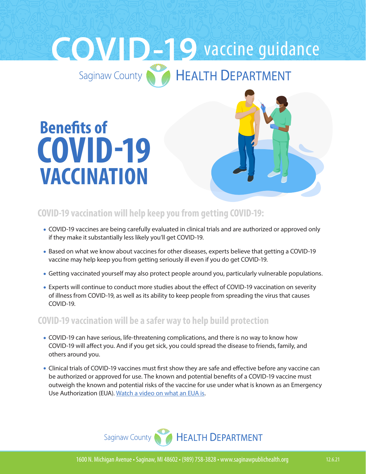# **COVACCINE GUIDANCE**

# **COVID-19 VACCINATION Benefits of**



## **COVID-19 vaccination will help keep you from getting COVID-19:**

- COVID-19 vaccines are being carefully evaluated in clinical trials and are authorized or approved only if they make it substantially less likely you'll get COVID-19.
- Based on what we know about vaccines for other diseases, experts believe that getting a COVID-19 vaccine may help keep you from getting seriously ill even if you do get COVID-19.
- Getting vaccinated yourself may also protect people around you, particularly vulnerable populations.
- Experts will continue to conduct more studies about the effect of COVID-19 vaccination on severity of illness from COVID-19, as well as its ability to keep people from spreading the virus that causes COVID-19.

#### **COVID-19 vaccination will be a safer way to help build protection**

- COVID-19 can have serious, life-threatening complications, and there is no way to know how COVID-19 will affect you. And if you get sick, you could spread the disease to friends, family, and others around you.
- Clinical trials of COVID-19 vaccines must first show they are safe and effective before any vaccine can be authorized or approved for use. The known and potential benefits of a COVID-19 vaccine must outweigh the known and potential risks of the vaccine for use under what is known as an Emergency Use Authorization (EUA). [Watch a video on what an EUA is](https://www.youtube.com/watch?v=iGkwaESsGBQ).